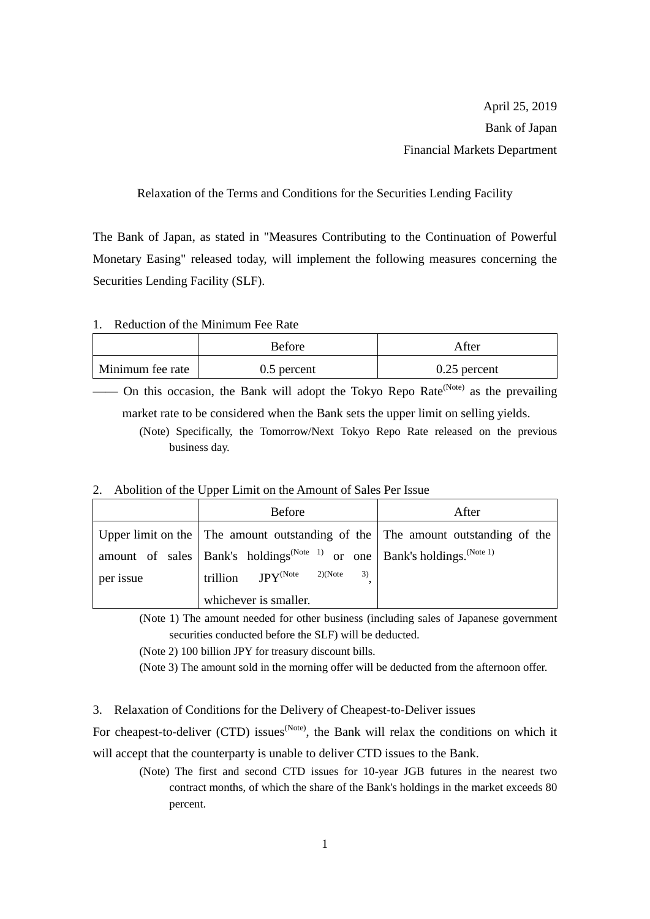Relaxation of the Terms and Conditions for the Securities Lending Facility

The Bank of Japan, as stated in "Measures Contributing to the Continuation of Powerful Monetary Easing" released today, will implement the following measures concerning the Securities Lending Facility (SLF).

## 1. Reduction of the Minimum Fee Rate

|                  | Before        | After          |
|------------------|---------------|----------------|
| Minimum fee rate | $0.5$ percent | $0.25$ percent |

— On this occasion, the Bank will adopt the Tokyo Repo Rate<sup>(Note)</sup> as the prevailing market rate to be considered when the Bank sets the upper limit on selling yields.

(Note) Specifically, the Tomorrow/Next Tokyo Repo Rate released on the previous business day.

## 2. Abolition of the Upper Limit on the Amount of Sales Per Issue

|           | <b>Before</b>                                                                                       | After |
|-----------|-----------------------------------------------------------------------------------------------------|-------|
|           | Upper limit on the The amount outstanding of the The amount outstanding of the                      |       |
|           | amount of sales   Bank's holdings <sup>(Note 1)</sup> or one   Bank's holdings. <sup>(Note 1)</sup> |       |
| per issue | trillion $JPY^{(Note 2)(Note)}$<br>3)                                                               |       |
|           | whichever is smaller.                                                                               |       |

(Note 1) The amount needed for other business (including sales of Japanese government securities conducted before the SLF) will be deducted.

(Note 2) 100 billion JPY for treasury discount bills.

(Note 3) The amount sold in the morning offer will be deducted from the afternoon offer.

3. Relaxation of Conditions for the Delivery of Cheapest-to-Deliver issues

For cheapest-to-deliver (CTD) issues<sup>(Note)</sup>, the Bank will relax the conditions on which it will accept that the counterparty is unable to deliver CTD issues to the Bank.

(Note) The first and second CTD issues for 10-year JGB futures in the nearest two contract months, of which the share of the Bank's holdings in the market exceeds 80 percent.